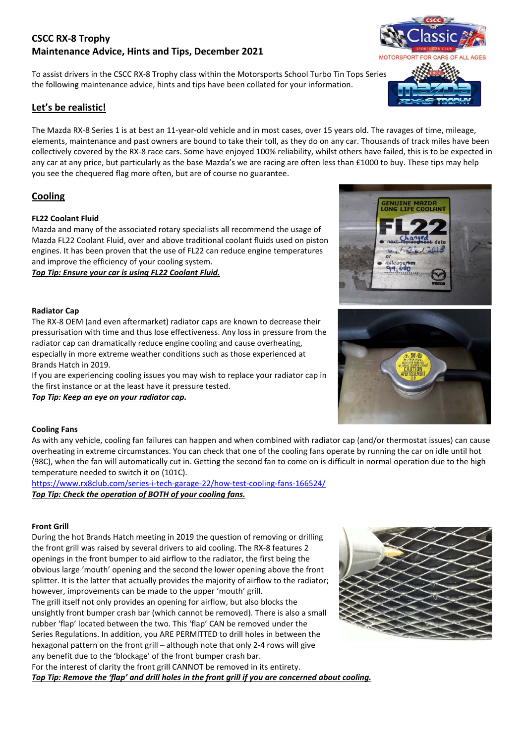# **CSCC RX-8 Trophy Maintenance Advice, Hints and Tips, December 2021**

To assist drivers in the CSCC RX-8 Trophy class within the Motorsports School Turbo Tin Tops Series the following maintenance advice, hints and tips have been collated for your information.

# **Let's be realistic!**

The Mazda RX-8 Series 1 is at best an 11-year-old vehicle and in most cases, over 15 years old. The ravages of time, mileage, elements, maintenance and past owners are bound to take their toll, as they do on any car. Thousands of track miles have been collectively covered by the RX-8 race cars. Some have enjoyed 100% reliability, whilst others have failed, this is to be expected in any car at any price, but particularly as the base Mazda's we are racing are often less than £1000 to buy. These tips may help you see the chequered flag more often, but are of course no guarantee.

# **Cooling**

### **FL22 Coolant Fluid**

Mazda and many of the associated rotary specialists all recommend the usage of Mazda FL22 Coolant Fluid, over and above traditional coolant fluids used on piston engines. It has been proven that the use of FL22 can reduce engine temperatures and improve the efficiency of your cooling system.

*Top Tip: Ensure your car is using FL22 Coolant Fluid.*

### **Radiator Cap**

The RX-8 OEM (and even aftermarket) radiator caps are known to decrease their pressurisation with time and thus lose effectiveness. Any loss in pressure from the radiator cap can dramatically reduce engine cooling and cause overheating, especially in more extreme weather conditions such as those experienced at Brands Hatch in 2019.

If you are experiencing cooling issues you may wish to replace your radiator cap in the first instance or at the least have it pressure tested.

*Top Tip: Keep an eye on your radiator cap.* 

#### **Cooling Fans**

As with any vehicle, cooling fan failures can happen and when combined with radiator cap (and/or thermostat issues) can cause overheating in extreme circumstances. You can check that one of the cooling fans operate by running the car on idle until hot (98C), when the fan will automatically cut in. Getting the second fan to come on is difficult in normal operation due to the high temperature needed to switch it on (101C).

https://www.rx8club.com/series-i-tech-garage-22/how-test-cooling-fans-166524/ *Top Tip: Check the operation of BOTH of your cooling fans.* 

### **Front Grill**

During the hot Brands Hatch meeting in 2019 the question of removing or drilling the front grill was raised by several drivers to aid cooling. The RX-8 features 2 openings in the front bumper to aid airflow to the radiator, the first being the obvious large 'mouth' opening and the second the lower opening above the front splitter. It is the latter that actually provides the majority of airflow to the radiator; however, improvements can be made to the upper 'mouth' grill. The grill itself not only provides an opening for airflow, but also blocks the unsightly front bumper crash bar (which cannot be removed). There is also a small rubber 'flap' located between the two. This 'flap' CAN be removed under the Series Regulations. In addition, you ARE PERMITTED to drill holes in between the hexagonal pattern on the front grill – although note that only 2-4 rows will give any benefit due to the 'blockage' of the front bumper crash bar.

For the interest of clarity the front grill CANNOT be removed in its entirety. *Top Tip: Remove the 'flap' and drill holes in the front grill if you are concerned about cooling.* 





**ENUINE MAZDA<br>ONG LIFE COOLA** 



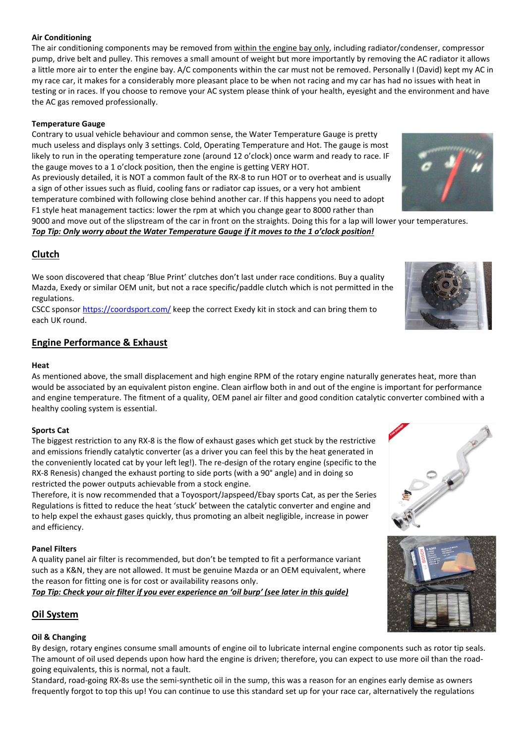### **Air Conditioning**

The air conditioning components may be removed from within the engine bay only, including radiator/condenser, compressor pump, drive belt and pulley. This removes a small amount of weight but more importantly by removing the AC radiator it allows a little more air to enter the engine bay. A/C components within the car must not be removed. Personally I (David) kept my AC in my race car, it makes for a considerably more pleasant place to be when not racing and my car has had no issues with heat in testing or in races. If you choose to remove your AC system please think of your health, eyesight and the environment and have the AC gas removed professionally.

### **Temperature Gauge**

Contrary to usual vehicle behaviour and common sense, the Water Temperature Gauge is pretty much useless and displays only 3 settings. Cold, Operating Temperature and Hot. The gauge is most likely to run in the operating temperature zone (around 12 o'clock) once warm and ready to race. IF the gauge moves to a 1 o'clock position, then the engine is getting VERY HOT.

As previously detailed, it is NOT a common fault of the RX-8 to run HOT or to overheat and is usually a sign of other issues such as fluid, cooling fans or radiator cap issues, or a very hot ambient temperature combined with following close behind another car. If this happens you need to adopt F1 style heat management tactics: lower the rpm at which you change gear to 8000 rather than

9000 and move out of the slipstream of the car in front on the straights. Doing this for a lap will lower your temperatures.

*Top Tip: Only worry about the Water Temperature Gauge if it moves to the 1 o'clock position!* 

# **Clutch**

We soon discovered that cheap 'Blue Print' clutches don't last under race conditions. Buy a quality Mazda, Exedy or similar OEM unit, but not a race specific/paddle clutch which is not permitted in the regulations.

CSCC sponsor https://coordsport.com/ keep the correct Exedy kit in stock and can bring them to each UK round.

# **Engine Performance & Exhaust**

#### **Heat**

As mentioned above, the small displacement and high engine RPM of the rotary engine naturally generates heat, more than would be associated by an equivalent piston engine. Clean airflow both in and out of the engine is important for performance and engine temperature. The fitment of a quality, OEM panel air filter and good condition catalytic converter combined with a healthy cooling system is essential.

#### **Sports Cat**

The biggest restriction to any RX-8 is the flow of exhaust gases which get stuck by the restrictive and emissions friendly catalytic converter (as a driver you can feel this by the heat generated in the conveniently located cat by your left leg!). The re-design of the rotary engine (specific to the RX-8 Renesis) changed the exhaust porting to side ports (with a 90° angle) and in doing so restricted the power outputs achievable from a stock engine.

Therefore, it is now recommended that a Toyosport/Japspeed/Ebay sports Cat, as per the Series Regulations is fitted to reduce the heat 'stuck' between the catalytic converter and engine and to help expel the exhaust gases quickly, thus promoting an albeit negligible, increase in power and efficiency.

#### **Panel Filters**

A quality panel air filter is recommended, but don't be tempted to fit a performance variant such as a K&N, they are not allowed. It must be genuine Mazda or an OEM equivalent, where the reason for fitting one is for cost or availability reasons only.

*Top Tip: Check your air filter if you ever experience an 'oil burp' (see later in this guide)* 

# **Oil System**

### **Oil & Changing**

By design, rotary engines consume small amounts of engine oil to lubricate internal engine components such as rotor tip seals. The amount of oil used depends upon how hard the engine is driven; therefore, you can expect to use more oil than the roadgoing equivalents, this is normal, not a fault.

Standard, road-going RX-8s use the semi-synthetic oil in the sump, this was a reason for an engines early demise as owners frequently forgot to top this up! You can continue to use this standard set up for your race car, alternatively the regulations









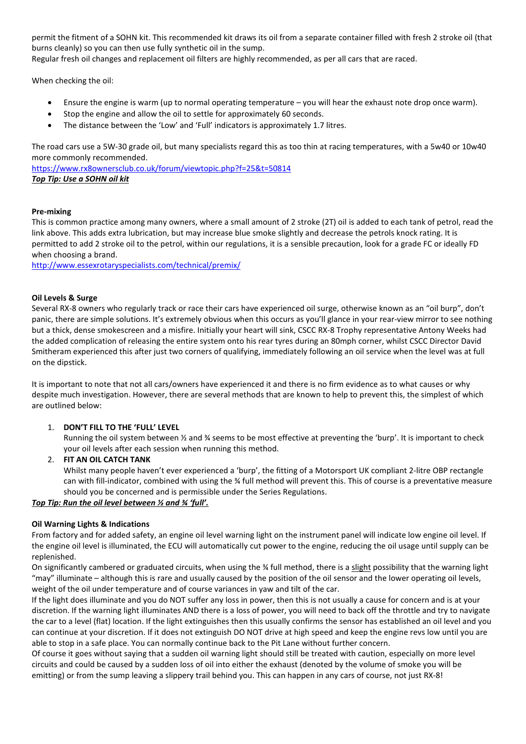permit the fitment of a SOHN kit. This recommended kit draws its oil from a separate container filled with fresh 2 stroke oil (that burns cleanly) so you can then use fully synthetic oil in the sump. Regular fresh oil changes and replacement oil filters are highly recommended, as per all cars that are raced.

When checking the oil:

- Ensure the engine is warm (up to normal operating temperature you will hear the exhaust note drop once warm).
- Stop the engine and allow the oil to settle for approximately 60 seconds.
- The distance between the 'Low' and 'Full' indicators is approximately 1.7 litres.

The road cars use a 5W-30 grade oil, but many specialists regard this as too thin at racing temperatures, with a 5w40 or 10w40 more commonly recommended.

https://www.rx8ownersclub.co.uk/forum/viewtopic.php?f=25&t=50814 *Top Tip: Use a SOHN oil kit* 

### **Pre-mixing**

This is common practice among many owners, where a small amount of 2 stroke (2T) oil is added to each tank of petrol, read the link above. This adds extra lubrication, but may increase blue smoke slightly and decrease the petrols knock rating. It is permitted to add 2 stroke oil to the petrol, within our regulations, it is a sensible precaution, look for a grade FC or ideally FD when choosing a brand.

http://www.essexrotaryspecialists.com/technical/premix/

### **Oil Levels & Surge**

Several RX-8 owners who regularly track or race their cars have experienced oil surge, otherwise known as an "oil burp", don't panic, there are simple solutions. It's extremely obvious when this occurs as you'll glance in your rear-view mirror to see nothing but a thick, dense smokescreen and a misfire. Initially your heart will sink, CSCC RX-8 Trophy representative Antony Weeks had the added complication of releasing the entire system onto his rear tyres during an 80mph corner, whilst CSCC Director David Smitheram experienced this after just two corners of qualifying, immediately following an oil service when the level was at full on the dipstick.

It is important to note that not all cars/owners have experienced it and there is no firm evidence as to what causes or why despite much investigation. However, there are several methods that are known to help to prevent this, the simplest of which are outlined below:

### 1. **DON'T FILL TO THE 'FULL' LEVEL**

Running the oil system between ½ and ¾ seems to be most effective at preventing the 'burp'. It is important to check your oil levels after each session when running this method.

#### 2. **FIT AN OIL CATCH TANK**

Whilst many people haven't ever experienced a 'burp', the fitting of a Motorsport UK compliant 2-litre OBP rectangle can with fill-indicator, combined with using the ¾ full method will prevent this. This of course is a preventative measure should you be concerned and is permissible under the Series Regulations.

#### *Top Tip: Run the oil level between ½ and ¾ 'full'.*

#### **Oil Warning Lights & Indications**

From factory and for added safety, an engine oil level warning light on the instrument panel will indicate low engine oil level. If the engine oil level is illuminated, the ECU will automatically cut power to the engine, reducing the oil usage until supply can be replenished.

On significantly cambered or graduated circuits, when using the ¾ full method, there is a slight possibility that the warning light "may" illuminate – although this is rare and usually caused by the position of the oil sensor and the lower operating oil levels, weight of the oil under temperature and of course variances in yaw and tilt of the car.

If the light does illuminate and you do NOT suffer any loss in power, then this is not usually a cause for concern and is at your discretion. If the warning light illuminates AND there is a loss of power, you will need to back off the throttle and try to navigate the car to a level (flat) location. If the light extinguishes then this usually confirms the sensor has established an oil level and you can continue at your discretion. If it does not extinguish DO NOT drive at high speed and keep the engine revs low until you are able to stop in a safe place. You can normally continue back to the Pit Lane without further concern.

Of course it goes without saying that a sudden oil warning light should still be treated with caution, especially on more level circuits and could be caused by a sudden loss of oil into either the exhaust (denoted by the volume of smoke you will be emitting) or from the sump leaving a slippery trail behind you. This can happen in any cars of course, not just RX-8!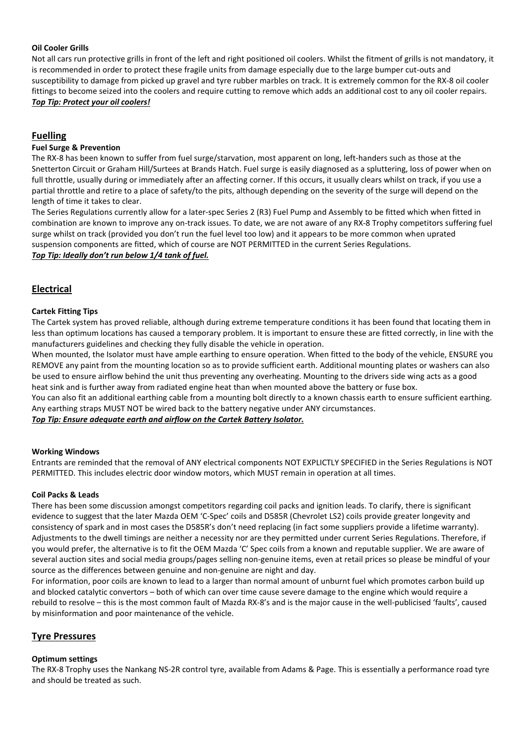### **Oil Cooler Grills**

Not all cars run protective grills in front of the left and right positioned oil coolers. Whilst the fitment of grills is not mandatory, it is recommended in order to protect these fragile units from damage especially due to the large bumper cut-outs and susceptibility to damage from picked up gravel and tyre rubber marbles on track. It is extremely common for the RX-8 oil cooler fittings to become seized into the coolers and require cutting to remove which adds an additional cost to any oil cooler repairs. *Top Tip: Protect your oil coolers!* 

### **Fuelling**

#### **Fuel Surge & Prevention**

The RX-8 has been known to suffer from fuel surge/starvation, most apparent on long, left-handers such as those at the Snetterton Circuit or Graham Hill/Surtees at Brands Hatch. Fuel surge is easily diagnosed as a spluttering, loss of power when on full throttle, usually during or immediately after an affecting corner. If this occurs, it usually clears whilst on track, if you use a partial throttle and retire to a place of safety/to the pits, although depending on the severity of the surge will depend on the length of time it takes to clear.

The Series Regulations currently allow for a later-spec Series 2 (R3) Fuel Pump and Assembly to be fitted which when fitted in combination are known to improve any on-track issues. To date, we are not aware of any RX-8 Trophy competitors suffering fuel surge whilst on track (provided you don't run the fuel level too low) and it appears to be more common when uprated suspension components are fitted, which of course are NOT PERMITTED in the current Series Regulations. *Top Tip: Ideally don't run below 1/4 tank of fuel.* 

# **Electrical**

### **Cartek Fitting Tips**

The Cartek system has proved reliable, although during extreme temperature conditions it has been found that locating them in less than optimum locations has caused a temporary problem. It is important to ensure these are fitted correctly, in line with the manufacturers guidelines and checking they fully disable the vehicle in operation.

When mounted, the Isolator must have ample earthing to ensure operation. When fitted to the body of the vehicle, ENSURE you REMOVE any paint from the mounting location so as to provide sufficient earth. Additional mounting plates or washers can also be used to ensure airflow behind the unit thus preventing any overheating. Mounting to the drivers side wing acts as a good heat sink and is further away from radiated engine heat than when mounted above the battery or fuse box.

You can also fit an additional earthing cable from a mounting bolt directly to a known chassis earth to ensure sufficient earthing. Any earthing straps MUST NOT be wired back to the battery negative under ANY circumstances.

*Top Tip: Ensure adequate earth and airflow on the Cartek Battery Isolator.* 

#### **Working Windows**

Entrants are reminded that the removal of ANY electrical components NOT EXPLICTLY SPECIFIED in the Series Regulations is NOT PERMITTED. This includes electric door window motors, which MUST remain in operation at all times.

#### **Coil Packs & Leads**

There has been some discussion amongst competitors regarding coil packs and ignition leads. To clarify, there is significant evidence to suggest that the later Mazda OEM 'C-Spec' coils and D585R (Chevrolet LS2) coils provide greater longevity and consistency of spark and in most cases the D585R's don't need replacing (in fact some suppliers provide a lifetime warranty). Adjustments to the dwell timings are neither a necessity nor are they permitted under current Series Regulations. Therefore, if you would prefer, the alternative is to fit the OEM Mazda 'C' Spec coils from a known and reputable supplier. We are aware of several auction sites and social media groups/pages selling non-genuine items, even at retail prices so please be mindful of your source as the differences between genuine and non-genuine are night and day.

For information, poor coils are known to lead to a larger than normal amount of unburnt fuel which promotes carbon build up and blocked catalytic convertors – both of which can over time cause severe damage to the engine which would require a rebuild to resolve – this is the most common fault of Mazda RX-8's and is the major cause in the well-publicised 'faults', caused by misinformation and poor maintenance of the vehicle.

### **Tyre Pressures**

#### **Optimum settings**

The RX-8 Trophy uses the Nankang NS-2R control tyre, available from Adams & Page. This is essentially a performance road tyre and should be treated as such.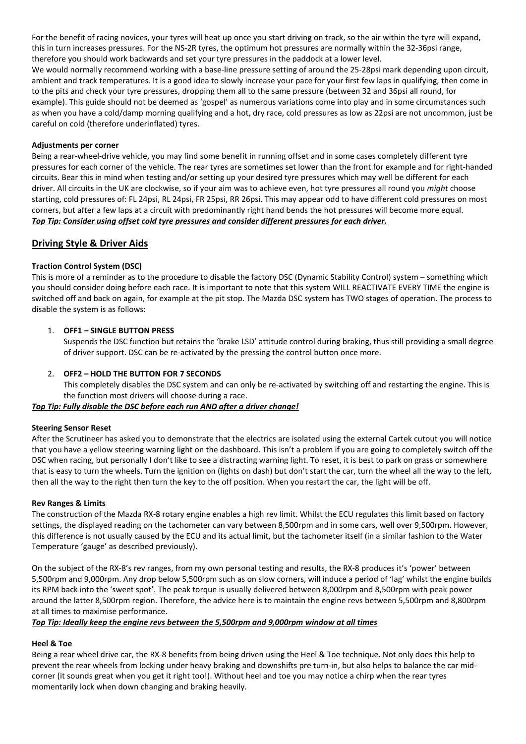For the benefit of racing novices, your tyres will heat up once you start driving on track, so the air within the tyre will expand, this in turn increases pressures. For the NS-2R tyres, the optimum hot pressures are normally within the 32-36psi range, therefore you should work backwards and set your tyre pressures in the paddock at a lower level. We would normally recommend working with a base-line pressure setting of around the 25-28psi mark depending upon circuit, ambient and track temperatures. It is a good idea to slowly increase your pace for your first few laps in qualifying, then come in to the pits and check your tyre pressures, dropping them all to the same pressure (between 32 and 36psi all round, for example). This guide should not be deemed as 'gospel' as numerous variations come into play and in some circumstances such as when you have a cold/damp morning qualifying and a hot, dry race, cold pressures as low as 22psi are not uncommon, just be careful on cold (therefore underinflated) tyres.

### **Adjustments per corner**

Being a rear-wheel-drive vehicle, you may find some benefit in running offset and in some cases completely different tyre pressures for each corner of the vehicle. The rear tyres are sometimes set lower than the front for example and for right-handed circuits. Bear this in mind when testing and/or setting up your desired tyre pressures which may well be different for each driver. All circuits in the UK are clockwise, so if your aim was to achieve even, hot tyre pressures all round you *might* choose starting, cold pressures of: FL 24psi, RL 24psi, FR 25psi, RR 26psi. This may appear odd to have different cold pressures on most corners, but after a few laps at a circuit with predominantly right hand bends the hot pressures will become more equal. *Top Tip: Consider using offset cold tyre pressures and consider different pressures for each driver.* 

# **Driving Style & Driver Aids**

### **Traction Control System (DSC)**

This is more of a reminder as to the procedure to disable the factory DSC (Dynamic Stability Control) system – something which you should consider doing before each race. It is important to note that this system WILL REACTIVATE EVERY TIME the engine is switched off and back on again, for example at the pit stop. The Mazda DSC system has TWO stages of operation. The process to disable the system is as follows:

### 1. **OFF1 – SINGLE BUTTON PRESS**

Suspends the DSC function but retains the 'brake LSD' attitude control during braking, thus still providing a small degree of driver support. DSC can be re-activated by the pressing the control button once more.

### 2. **OFF2 – HOLD THE BUTTON FOR 7 SECONDS**

This completely disables the DSC system and can only be re-activated by switching off and restarting the engine. This is the function most drivers will choose during a race.

### *Top Tip: Fully disable the DSC before each run AND after a driver change!*

#### **Steering Sensor Reset**

After the Scrutineer has asked you to demonstrate that the electrics are isolated using the external Cartek cutout you will notice that you have a yellow steering warning light on the dashboard. This isn't a problem if you are going to completely switch off the DSC when racing, but personally I don't like to see a distracting warning light. To reset, it is best to park on grass or somewhere that is easy to turn the wheels. Turn the ignition on (lights on dash) but don't start the car, turn the wheel all the way to the left, then all the way to the right then turn the key to the off position. When you restart the car, the light will be off.

### **Rev Ranges & Limits**

The construction of the Mazda RX-8 rotary engine enables a high rev limit. Whilst the ECU regulates this limit based on factory settings, the displayed reading on the tachometer can vary between 8,500rpm and in some cars, well over 9,500rpm. However, this difference is not usually caused by the ECU and its actual limit, but the tachometer itself (in a similar fashion to the Water Temperature 'gauge' as described previously).

On the subject of the RX-8's rev ranges, from my own personal testing and results, the RX-8 produces it's 'power' between 5,500rpm and 9,000rpm. Any drop below 5,500rpm such as on slow corners, will induce a period of 'lag' whilst the engine builds its RPM back into the 'sweet spot'. The peak torque is usually delivered between 8,000rpm and 8,500rpm with peak power around the latter 8,500rpm region. Therefore, the advice here is to maintain the engine revs between 5,500rpm and 8,800rpm at all times to maximise performance.

#### *Top Tip: Ideally keep the engine revs between the 5,500rpm and 9,000rpm window at all times*

### **Heel & Toe**

Being a rear wheel drive car, the RX-8 benefits from being driven using the Heel & Toe technique. Not only does this help to prevent the rear wheels from locking under heavy braking and downshifts pre turn-in, but also helps to balance the car midcorner (it sounds great when you get it right too!). Without heel and toe you may notice a chirp when the rear tyres momentarily lock when down changing and braking heavily.